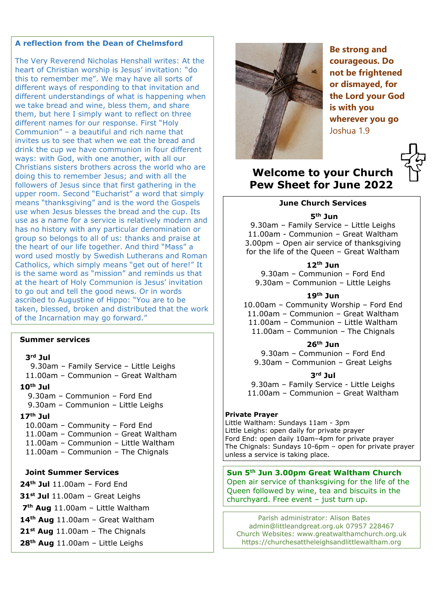## **A reflection from the Dean of Chelmsford**

The Very Reverend Nicholas Henshall writes: At the heart of Christian worship is Jesus' invitation: "do this to remember me". We may have all sorts of different ways of responding to that invitation and different understandings of what is happening when we take bread and wine, bless them, and share them, but here I simply want to reflect on three different names for our response. First "Holy Communion" – a beautiful and rich name that invites us to see that when we eat the bread and drink the cup we have communion in four different ways: with God, with one another, with all our Christians sisters brothers across the world who are doing this to remember Jesus; and with all the followers of Jesus since that first gathering in the upper room. Second "Eucharist" a word that simply means "thanksgiving" and is the word the Gospels use when Jesus blesses the bread and the cup. Its use as a name for a service is relatively modern and has no history with any particular denomination or group so belongs to all of us: thanks and praise at the heart of our life together. And third "Mass" a word used mostly by Swedish Lutherans and Roman Catholics, which simply means "get out of here!" It is the same word as "mission" and reminds us that at the heart of Holy Communion is Jesus' invitation to go out and tell the good news. Or in words ascribed to Augustine of Hippo: "You are to be taken, blessed, broken and distributed that the work of the Incarnation may go forward."

## **Summer services**

#### **3rd Jul**

9.30am – Family Service – Little Leighs

- 11.00am Communion Great Waltham
- **10th Jul** 
	- 9.30am Communion Ford End
	- 9.30am Communion Little Leighs

#### **17th Jul**

10.00am – Community – Ford End

- 11.00am Communion Great Waltham
- 11.00am Communion Little Waltham
- 11.00am Communion The Chignals

## **Joint Summer Services**

**24th Jul** 11.00am – Ford End

**31st Jul** 11.00am – Great Leighs

**7th Aug** 11.00am – Little Waltham

**14th Aug** 11.00am – Great Waltham

**21st Aug** 11.00am – The Chignals

**28th Aug** 11.00am – Little Leighs



**Be strong and courageous. Do not be frightened or dismayed, for the Lord your God is with you wherever you go** Joshua 1.9

# **Welcome to your Church Pew Sheet for June 2022**

### **June Church Services**

### **5th Jun**

9.30am – Family Service – Little Leighs 11.00am - Communion – Great Waltham 3.00pm – Open air service of thanksgiving for the life of the Queen – Great Waltham

#### **12th Jun**

9.30am – Communion – Ford End 9.30am – Communion – Little Leighs

#### **19th Jun**

10.00am – Community Worship – Ford End 11.00am – Communion – Great Waltham 11.00am – Communion – Little Waltham 11.00am – Communion – The Chignals

## **26th Jun**

9.30am – Communion – Ford End 9.30am – Communion – Great Leighs

#### **3rd Jul**

9.30am – Family Service - Little Leighs 11.00am – Communion – Great Waltham

#### **Private Prayer**

Little Waltham: Sundays 11am - 3pm Little Leighs: open daily for private prayer Ford End: open daily 10am–4pm for private prayer The Chignals: Sundays 10-6pm – open for private prayer unless a service is taking place.

**Sun 5th Jun 3.00pm Great Waltham Church** Open air service of thanksgiving for the life of the Queen followed by wine, tea and biscuits in the churchyard. Free event – just turn up.

Parish administrator: Alison Bates [admin@littleandgreat.org.uk](mailto:admin@littleandgreat.org.uk) 07957 228467 Church Websites: [www.greatwalthamchurch.org.uk](http://www.greatwalthamchurch.org.uk/) [https://churchesattheleighsandlittlewaltham.org](https://churchesattheleighsandlittlewaltham.org/)